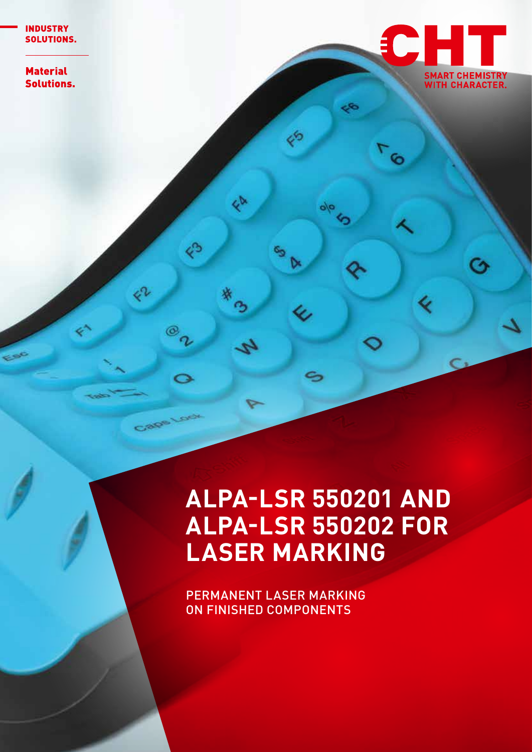**Material Solutions.** 



Ó

٢

G

∢

**ALPA-LSR 550201 AND ALPA-LSR 550202 FOR LASER MARKING**

E

⊳

Ų,

S

 $\frac{1}{2}$ 

ED

B

h

E

 $\circledcirc$  $\sigma$ 

Cage Look

çr

PERMANENT LASER MARKING ON FINISHED COMPONENTS